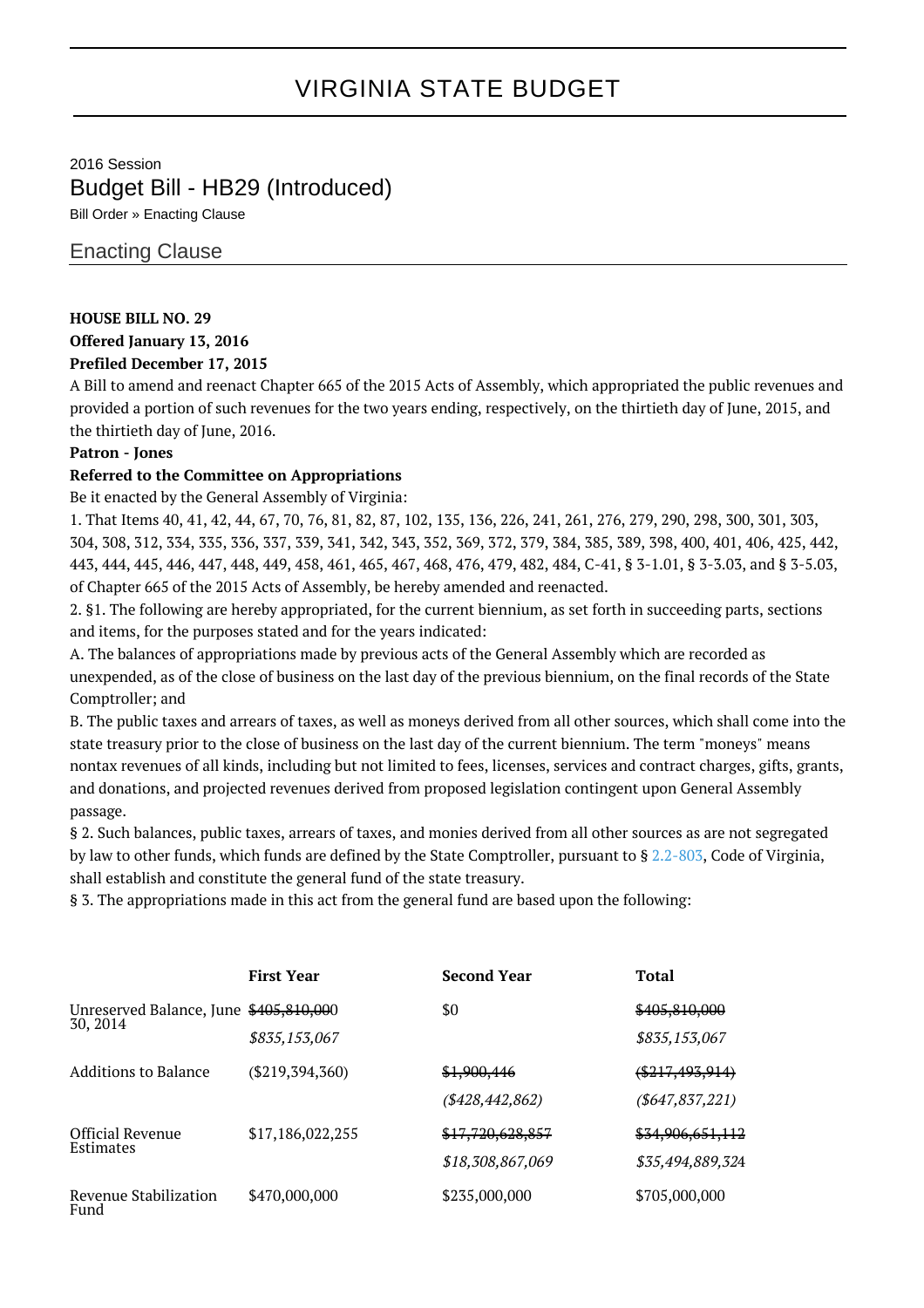# VIRGINIA STATE BUDGET

2016 Session Budget Bill - HB29 (Introduced)

Bill Order » Enacting Clause

## Enacting Clause

#### **HOUSE BILL NO. 29**

**Offered January 13, 2016**

## **Prefiled December 17, 2015**

A Bill to amend and reenact Chapter 665 of the 2015 Acts of Assembly, which appropriated the public revenues and provided a portion of such revenues for the two years ending, respectively, on the thirtieth day of June, 2015, and the thirtieth day of June, 2016.

## **Patron - Jones**

## **Referred to the Committee on Appropriations**

Be it enacted by the General Assembly of Virginia:

1. That Items 40, 41, 42, 44, 67, 70, 76, 81, 82, 87, 102, 135, 136, 226, 241, 261, 276, 279, 290, 298, 300, 301, 303, 304, 308, 312, 334, 335, 336, 337, 339, 341, 342, 343, 352, 369, 372, 379, 384, 385, 389, 398, 400, 401, 406, 425, 442, 443, 444, 445, 446, 447, 448, 449, 458, 461, 465, 467, 468, 476, 479, 482, 484, C-41, § 3-1.01, § 3-3.03, and § 3-5.03, of Chapter 665 of the 2015 Acts of Assembly, be hereby amended and reenacted.

2. §1. The following are hereby appropriated, for the current biennium, as set forth in succeeding parts, sections and items, for the purposes stated and for the years indicated:

A. The balances of appropriations made by previous acts of the General Assembly which are recorded as unexpended, as of the close of business on the last day of the previous biennium, on the final records of the State Comptroller; and

B. The public taxes and arrears of taxes, as well as moneys derived from all other sources, which shall come into the state treasury prior to the close of business on the last day of the current biennium. The term "moneys" means nontax revenues of all kinds, including but not limited to fees, licenses, services and contract charges, gifts, grants, and donations, and projected revenues derived from proposed legislation contingent upon General Assembly passage.

§ 2. Such balances, public taxes, arrears of taxes, and monies derived from all other sources as are not segregated by law to other funds, which funds are defined by the State Comptroller, pursuant to § [2.2-803,](http://law.lis.virginia.gov/vacode/2.2-803/) Code of Virginia, shall establish and constitute the general fund of the state treasury.

§ 3. The appropriations made in this act from the general fund are based upon the following:

|                                                    | <b>First Year</b> | <b>Second Year</b> | Total              |
|----------------------------------------------------|-------------------|--------------------|--------------------|
| Unreserved Balance, June \$405,810,000<br>30, 2014 |                   | \$0                | \$405,810,000      |
|                                                    | \$835,153,067     |                    | \$835,153,067      |
| Additions to Balance                               | $(\$219,394,360)$ | \$1,900,446        | $(*217,493,914)$   |
|                                                    |                   | (\$428,442,862)    | ( \$647, 837, 221) |
| <b>Official Revenue</b><br>Estimates               | \$17,186,022,255  | \$17,720,628,857   | \$34,906,651,112   |
|                                                    |                   | \$18,308,867,069   | \$35,494,889,324   |
| Revenue Stabilization<br>Fund                      | \$470,000,000     | \$235,000,000      | \$705,000,000      |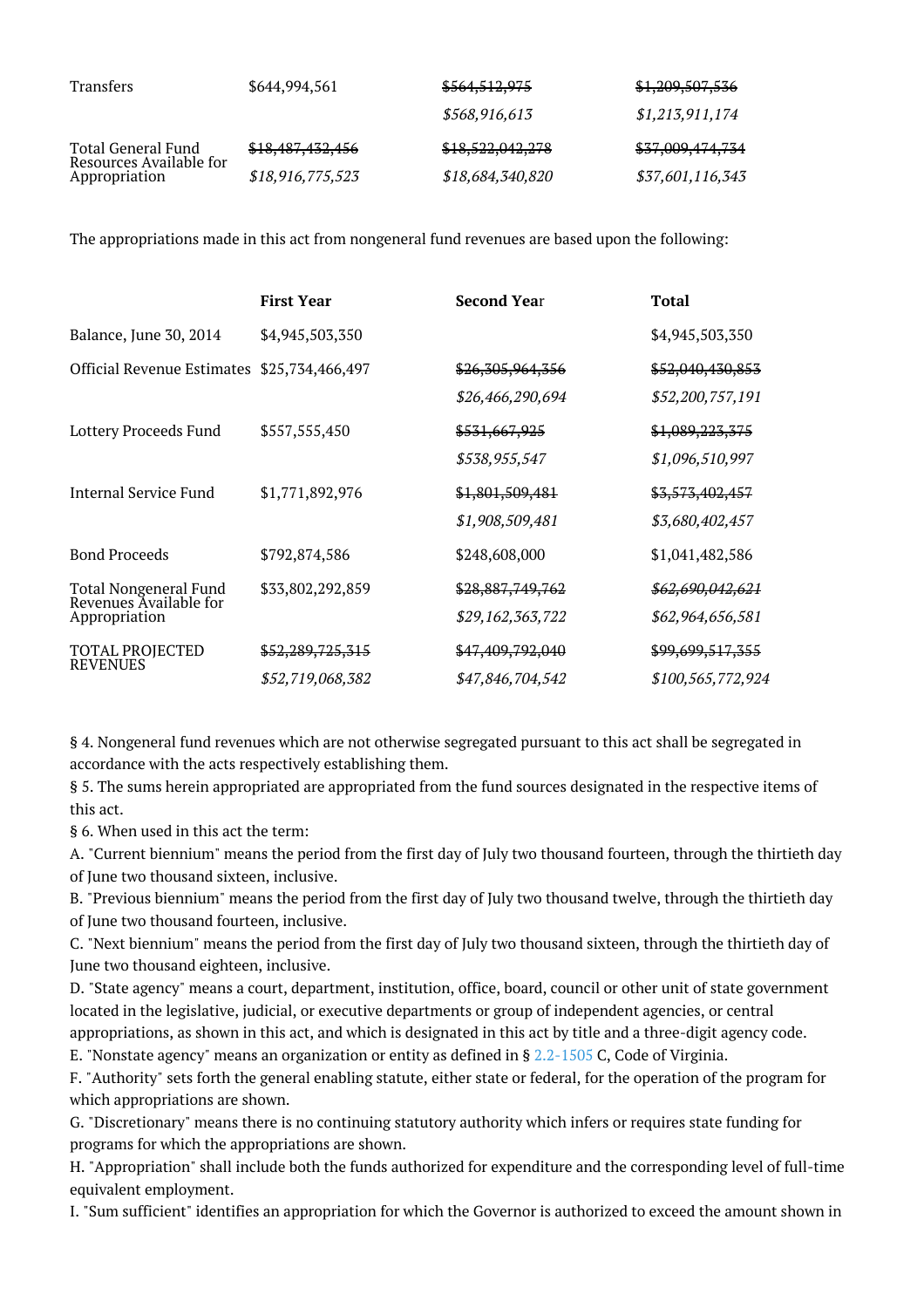| <b>Transfers</b>                                               | \$644,994,561    | \$564,512,975    | \$1,209,507,536  |
|----------------------------------------------------------------|------------------|------------------|------------------|
|                                                                |                  | \$568,916,613    | \$1,213,911,174  |
| Total General Fund<br>Resources Available for<br>Appropriation | \$18,487,432,456 | \$18,522,042,278 | \$37,009,474,734 |
|                                                                | \$18,916,775,523 | \$18,684,340,820 | \$37,601,116,343 |

The appropriations made in this act from nongeneral fund revenues are based upon the following:

|                                                                         | <b>First Year</b> | <b>Second Year</b>          | Total                       |
|-------------------------------------------------------------------------|-------------------|-----------------------------|-----------------------------|
| Balance, June 30, 2014                                                  | \$4,945,503,350   |                             | \$4,945,503,350             |
| <b>Official Revenue Estimates</b>                                       | \$25,734,466,497  | \$26,305,964,356            | \$52,040,430,853            |
|                                                                         |                   | \$26,466,290,694            | \$52,200,757,191            |
| Lottery Proceeds Fund                                                   | \$557,555,450     | <del>\$531,667,925</del>    | \$1,089,223,375             |
|                                                                         |                   | \$538,955,547               | \$1,096,510,997             |
| Internal Service Fund                                                   | \$1,771,892,976   | \$1,801,509,481             | \$3,573,402,457             |
|                                                                         |                   | \$1,908,509,481             | \$3,680,402,457             |
| <b>Bond Proceeds</b>                                                    | \$792,874,586     | \$248,608,000               | \$1,041,482,586             |
| <b>Total Nongeneral Fund</b><br>Revenues Available for<br>Appropriation | \$33,802,292,859  | <del>\$28,887,749,762</del> | <del>\$62,690,042,621</del> |
|                                                                         |                   | \$29,162,363,722            | \$62,964,656,581            |
| <b>TOTAL PROJECTED</b><br><b>REVENUES</b>                               | \$52,289,725,315  | \$47,409,792,040            | \$99,699,517,355            |
|                                                                         | \$52,719,068,382  | \$47,846,704,542            | \$100,565,772,924           |

§ 4. Nongeneral fund revenues which are not otherwise segregated pursuant to this act shall be segregated in accordance with the acts respectively establishing them.

§ 5. The sums herein appropriated are appropriated from the fund sources designated in the respective items of this act.

§ 6. When used in this act the term:

A. "Current biennium" means the period from the first day of July two thousand fourteen, through the thirtieth day of June two thousand sixteen, inclusive.

B. "Previous biennium" means the period from the first day of July two thousand twelve, through the thirtieth day of June two thousand fourteen, inclusive.

C. "Next biennium" means the period from the first day of July two thousand sixteen, through the thirtieth day of June two thousand eighteen, inclusive.

D. "State agency" means a court, department, institution, office, board, council or other unit of state government located in the legislative, judicial, or executive departments or group of independent agencies, or central appropriations, as shown in this act, and which is designated in this act by title and a three-digit agency code. E. "Nonstate agency" means an organization or entity as defined in § [2.2-1505](http://law.lis.virginia.gov/vacode/2.2-1505/) C, Code of Virginia.

F. "Authority" sets forth the general enabling statute, either state or federal, for the operation of the program for which appropriations are shown.

G. "Discretionary" means there is no continuing statutory authority which infers or requires state funding for programs for which the appropriations are shown.

H. "Appropriation" shall include both the funds authorized for expenditure and the corresponding level of full-time equivalent employment.

I. "Sum sufficient" identifies an appropriation for which the Governor is authorized to exceed the amount shown in